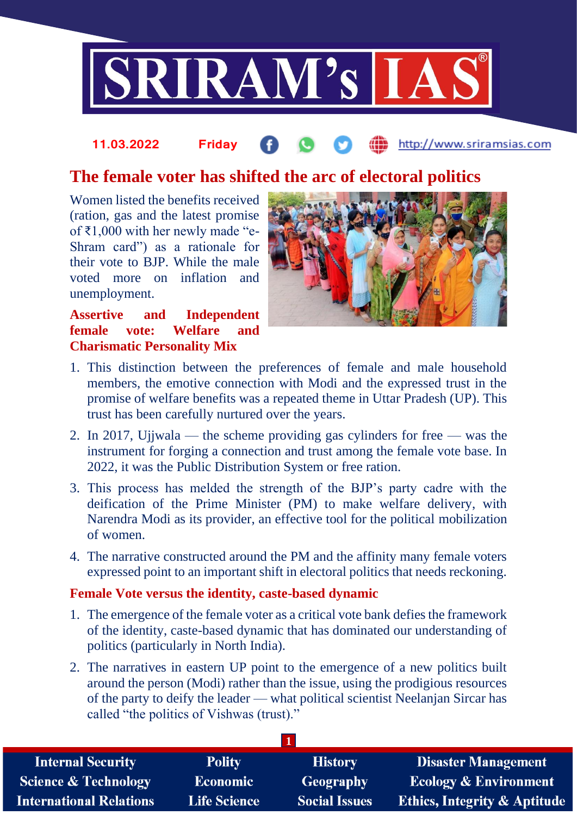

## http://www.sriramsias.com **11.03.2022 Friday**

## **The female voter has shifted the arc of electoral politics**

Women listed the benefits received (ration, gas and the latest promise of ₹1,000 with her newly made "e-Shram card") as a rationale for their vote to BJP. While the male voted more on inflation and unemployment.

**Assertive and Independent female vote: Welfare and Charismatic Personality Mix**



- 1. This distinction between the preferences of female and male household members, the emotive connection with Modi and the expressed trust in the promise of welfare benefits was a repeated theme in Uttar Pradesh (UP). This trust has been carefully nurtured over the years.
- 2. In 2017, Ujjwala the scheme providing gas cylinders for free was the instrument for forging a connection and trust among the female vote base. In 2022, it was the Public Distribution System or free ration.
- 3. This process has melded the strength of the BJP's party cadre with the deification of the Prime Minister (PM) to make welfare delivery, with Narendra Modi as its provider, an effective tool for the political mobilization of women.
- 4. The narrative constructed around the PM and the affinity many female voters expressed point to an important shift in electoral politics that needs reckoning.

## **Female Vote versus the identity, caste-based dynamic**

- 1. The emergence of the female voter as a critical vote bank defies the framework of the identity, caste-based dynamic that has dominated our understanding of politics (particularly in North India).
- 2. The narratives in eastern UP point to the emergence of a new politics built around the person (Modi) rather than the issue, using the prodigious resources of the party to deify the leader — what political scientist Neelanjan Sircar has called "the politics of Vishwas (trust)."

| <b>Internal Security</b>        | <b>Polity</b>   | <b>History</b>       | <b>Disaster Management</b>              |  |  |
|---------------------------------|-----------------|----------------------|-----------------------------------------|--|--|
| <b>Science &amp; Technology</b> | <b>Economic</b> | Geography            | <b>Ecology &amp; Environment</b>        |  |  |
| <b>International Relations</b>  | Life Science    | <b>Social Issues</b> | <b>Ethics, Integrity &amp; Aptitude</b> |  |  |